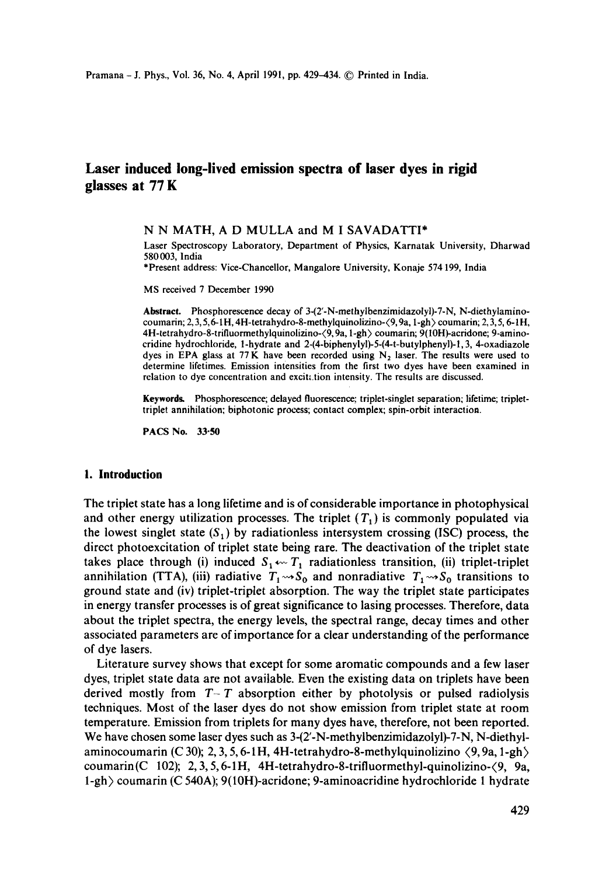# **Laser induced long-lived emission spectra of laser dyes in rigid glasses at 77 K**

#### **N N MATH, A D** MULLA and **M I** SAVADATTI\*

Laser Spectroscopy Laboratory, Department of Physics, Karnatak University, Dharwad 580003, lndia

\*Present address: Vice-Chancellor, Mangalore University, Konaje 574 199, India

MS received 7 December 1990

**Abstract.** Phosphorescence decay of 3-(2'-N-methylbenzimidazolyl)-7-N, N-diethylaminocoumarin; 2, 3, 5, 6-1H, 4H-tetrahydro-8-methylquinolizino- $(9, 9a, 1-gh)$  coumarin; 2, 3, 5, 6-1H, 4H-tetrahydro-8-trifluormethylquinolizino- $\langle 9, 9a, 1-gh \rangle$  coumarin; 9(10H)-acridone; 9-aminocridine hydrochloride, l-hydrate and 2-(4-biphenylyl)-5-(4-t-butylphenyl)-l, 3, 4-oxadiazole dyes in EPA glass at 77 K have been recorded using  $N_2$  laser. The results were used to determine lifetimes. Emission intensities from the first two dyes have been examined in relation to dye concentration and excitation intensity. The results are discussed.

**Keywords.** Phosphorescence; delayed fluorescence; triplet-singlet separation; lifetime; triplettriplet annihilation; biphotonic process; contact complex; spin-orbit interaction.

PACS No. **33"50** 

### **I. Introduction**

The triplet state has a long lifetime and is of considerable importance in photophysical and other energy utilization processes. The triplet  $(T_1)$  is commonly populated via the lowest singlet state  $(S_1)$  by radiationless intersystem crossing (ISC) process, the direct photoexcitation of triplet state being rare. The deactivation of the triplet state takes place through (i) induced  $S_1 \leftarrow T_1$  radiationless transition, (ii) triplet-triplet annihilation (TTA), (iii) radiative  $T_1 \rightarrow S_0$  and nonradiative  $T_1 \rightarrow S_0$  transitions to ground state and (iv) triplet-triplet absorption. The way the triplet state participates in energy transfer processes is of great significance to lasing processes. Therefore, data about the triplet spectra, the energy levels, the spectral range, decay times and other associated parameters are of importance for a clear understanding of the performance of dye lasers.

Literature survey shows that except for some aromatic compounds and a few laser dyes, triplet state data are not available. Even the existing data on triplets have been derived mostly from  $T-T$  absorption either by photolysis or pulsed radiolysis techniques. Most of the laser dyes do not show emission from triplet state at room temperature. Emission from triplets for many dyes have, therefore, not been reported. We have chosen some laser dyes such as  $3-(2-N$ -methylbenzimidazolyl)-7-N, N-diethylaminocoumarin (C 30); 2, 3, 5, 6-1H, 4H-tetrahydro-8-methylquinolizino  $\langle 9, 9a, 1-gh \rangle$ coumarin(C 102); 2,3,5,6-1H, 4H-tetrahydro-8-trifluormethyl-quinolizino-(9, 9a, 1-gh) coumarin (C 540A); 9(10H)-acridone; 9-aminoacridine hydrochloride 1 hydrate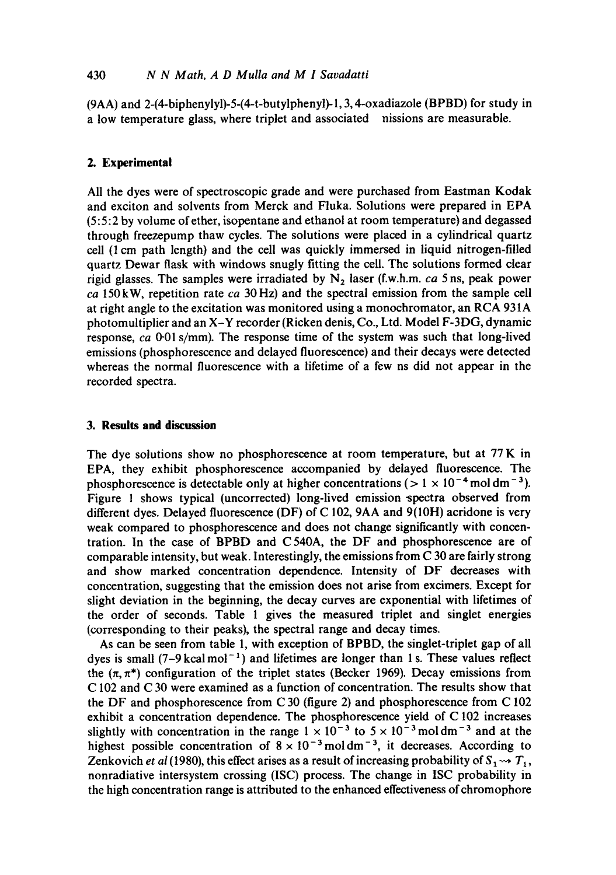# 430 *N N Math. A D Mulla and M I Savadatti*

(9AA) and 2-(4-biphenylyl)-5-(4-t-butylphenyl)-1, 3, 4-oxadiazole (BPBD) for study in a low temperature glass, where triplet and associated nissions are measurable.

## **2. Experimental**

All the dyes were of spectroscopic grade and were purchased from Eastman Kodak and exciton and solvents from Merck and Fluka. Solutions were prepared in EPA (5:5:2 by volume of ether, isopentane and ethanol at room temperature) and degassed through freezepump thaw cycles. The solutions were placed in a cylindrical quartz cell (! cm path length) and the cell was quickly immersed in liquid nitrogen-filled quartz Dewar flask with windows snugly fitting the cell. The solutions formed clear rigid glasses. The samples were irradiated by  $N_2$  laser (f.w.h.m. *ca* 5 ns, peak power *ca* 150kW, repetition rate *ca* 30Hz) and the spectral emission from the sample cell at right angle to the excitation was monitored using a monochromator, an RCA 931A photomultiplier and an X-Y recorder (Ricken denis, Co., Ltd. Model F-3DG, dynamic response, *ca* 0.01 s/mm). The response time of the system was such that long-lived emissions (phosphorescence and delayed fluorescence) and their decays were detected whereas the normal fluorescence with a lifetime of a few ns did not appear in the recorded spectra.

# **3. Results and discussion**

The dye solutions show no phosphorescence at room temperature, but at 77 K in EPA, they exhibit phosphorescence accompanied by delayed fluorescence. The phosphorescence is detectable only at higher concentrations ( $> 1 \times 10^{-4}$  moldm<sup>-3</sup>). Figure 1 shows typical (uncorrected) long-lived emission-spectra observed from different dyes. Delayed fluorescence (DF) of C 102, 9AA and 9(10H) acridone is very weak compared to phosphorescence and does not change significantly with concentration. In the case of BPBD and C 540A, the DF and phosphorescence are of comparable intensity, but weak. Interestingly, the emissions from C 30 are fairly strong and show marked concentration dependence. Intensity of DF decreases with concentration, suggesting that the emission does not arise from excimers. Except for slight deviation in the beginning, the decay curves are exponential with lifetimes of the order of seconds. Table 1 gives the measured triplet and singlet energies (corresponding to their peaks), the spectral range and decay times.

As can be seen from table 1, with exception of BPBD, the singlet-triplet gap of all dyes is small  $(7-9 \text{ kcal mol}^{-1})$  and lifetimes are longer than 1 s. These values reflect the  $(\pi, \pi^*)$  configuration of the triplet states (Becker 1969). Decay emissions from C 102 and C 30 were examined as a function of concentration. The results show that the DF and phosphorescence from C 30 (figure 2) and phosphorescence from C 102 exhibit a concentration dependence. The phosphorescence yield of C 102 increases slightly with concentration in the range  $1 \times 10^{-3}$  to  $5 \times 10^{-3}$  moldm<sup>-3</sup> and at the highest possible concentration of  $8 \times 10^{-3}$  mol dm<sup>-3</sup>, it decreases. According to Zenkovich *et al* (1980), this effect arises as a result of increasing probability of  $S_1 \rightarrow T_1$ , nonradiative intersystem crossing (ISC) process. The change in ISC probability in the high concentration range is attributed to the enhanced effectiveness of chromophore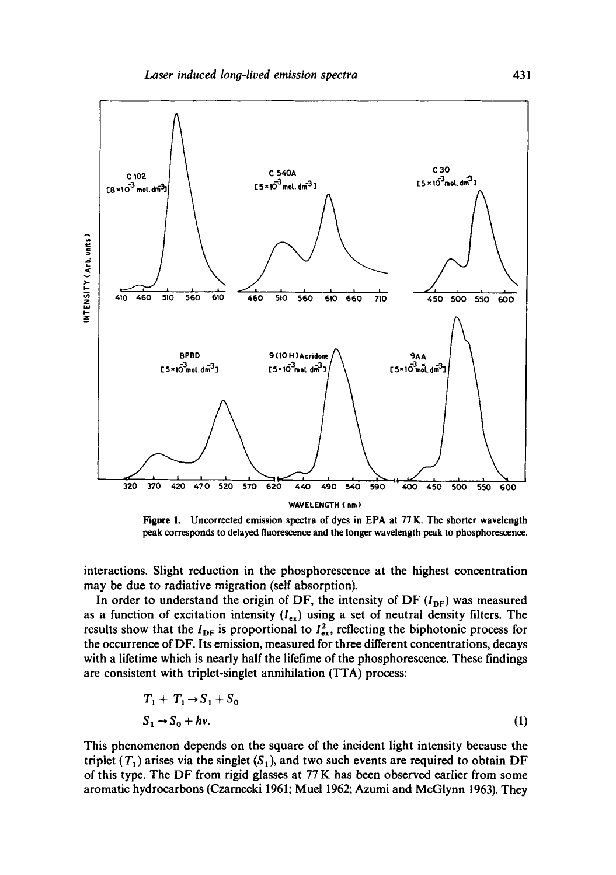

**Figure 1. Uncorrected emission spectra of dyes in EPA at 77 K. The shorter wavelength**  peak **corresponds to delayed fluorescence and the longer wavelength peak to phosphorescence.** 

**interactions. Slight reduction in the phosphorescence at the highest concentration may be due to radiative migration (self absorption).** 

In order to understand the origin of DF, the intensity of DF  $(I_{DF})$  was measured as a function of excitation intensity  $(I_{ex})$  using a set of neutral density filters. The results show that the  $I_{DF}$  is proportional to  $I_{ex}^2$ , reflecting the biphotonic process for **the occurrence of DF. Its emission, measured for three different concentrations, decays with a lifetime which is nearly half the lifetime of the phosphorescence. These findings are consistent with triplet-singlet annihilation (TTA) process:** 

$$
T_1 + T_1 \rightarrow S_1 + S_0
$$
  
\n
$$
S_1 \rightarrow S_0 + hv.
$$
 (1)

**This phenomenon depends on the square of the incident light intensity because the**  triplet  $(T_1)$  arises via the singlet  $(S_1)$ , and two such events are required to obtain DF **of this type. The DF from rigid glasses at 77 K has been observed earlier from some aromatic hydrocarbons (Czarnecki 1961; Muel 1962; Azumi and McGlynn 1963). They**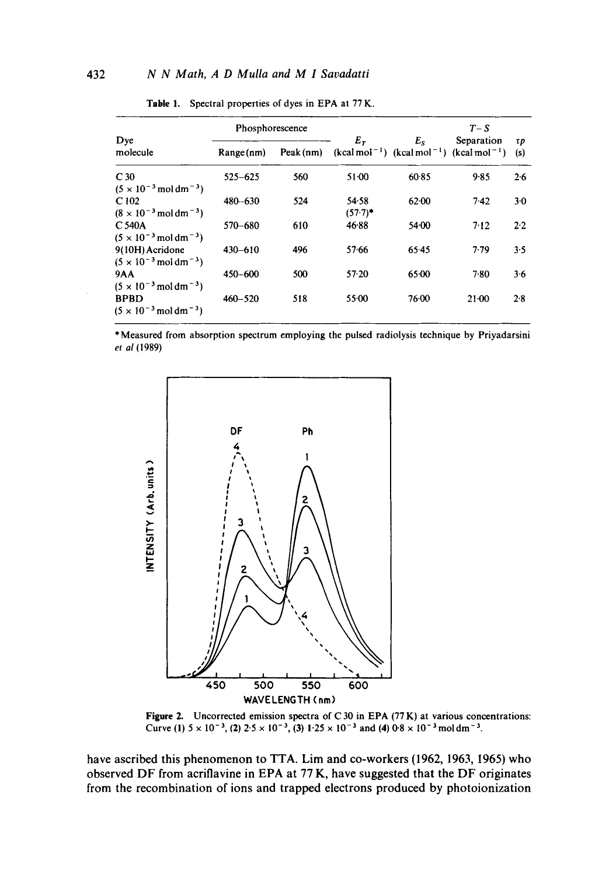| Dye<br>molecule                                                           | Phosphorescence |           |                     |             | $T-S$                                                      |           |
|---------------------------------------------------------------------------|-----------------|-----------|---------------------|-------------|------------------------------------------------------------|-----------|
|                                                                           | Range(nm)       | Peak (nm) | $E_{\tau}$          | $E_{\rm S}$ | Separation<br>$(kcal mol-1)$ $(kcal mol-1)$ $(kcal mol-1)$ | τp<br>(s) |
| C <sub>30</sub><br>$(5 \times 10^{-3} \,\mathrm{mol} \,\mathrm{dm}^{-3})$ | $525 - 625$     | 560       | $51-00$             | 60.85       | $9 - 85$                                                   | 2.6       |
| C102<br>$(8 \times 10^{-3} \,\mathrm{mol}\,\mathrm{dm}^{-3})$             | 480-630         | 524       | 54.58<br>$(57.7)^*$ | 62.00       | 7.42                                                       | $3-0$     |
| C 540A<br>$(5 \times 10^{-3} \,\mathrm{mol} \,\mathrm{dm}^{-3})$          | 570-680         | 610       | 46.88               | 54.00       | 7.12                                                       | 2.2       |
| 9(10H) Acridone<br>$(5 \times 10^{-3} \,\mathrm{mol} \,\mathrm{dm}^{-3})$ | $430 - 610$     | 496       | 57.66               | 65.45       | 7.79                                                       | 3.5       |
| <b>9AA</b><br>$(5 \times 10^{-3} \,\mathrm{mol} \,\mathrm{dm}^{-3})$      | $450 - 600$     | 500       | $57 - 20$           | $65 - 00$   | 7.80                                                       | $3-6$     |
| <b>BPBD</b><br>$(5 \times 10^{-3} \,\mathrm{mol} \,\mathrm{dm}^{-3})$     | $460 - 520$     | 518       | 55.00               | 76.00       | $21 - 00$                                                  | 2.8       |

Table 1. Spectral properties of dyes in EPA at 77 K.

\* Measured from absorption spectrum employing the pulsed radiolysis technique by Priyadarsini *et al* (1989)



**Figure 2.** Uncorrected emission spectra of C 30 in EPA (77 K) at various concentrations: Curve (1)  $5 \times 10^{-3}$ , (2)  $2.5 \times 10^{-3}$ , (3)  $1.25 \times 10^{-3}$  and (4)  $0.8 \times 10^{-3}$  moldm<sup>-3</sup>.

have ascribed this phenomenon to TTA. Lim and co-workers (1962, 1963, 1965) who observed DF from acriflavine in EPA at 77 K, have suggested that the DF originates from the recombination of ions and trapped electrons produced by photoionization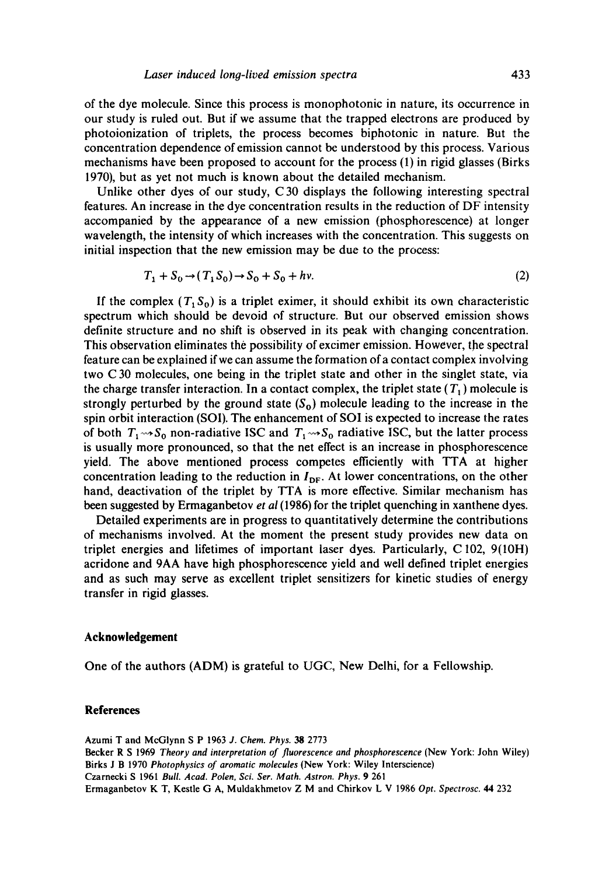of the dye molecule. Since this process is monophotonic in nature, its occurrence in our study is ruled out. But if we assume that the trapped electrons are produced by photoionization of triplets, the process becomes biphotonic in nature. But the concentration dependence of emission cannot be understood by this process. Various mechanisms have been proposed to account for the process (1) in rigid glasses (Birks 1970), but as yet not much is known about the detailed mechanism.

Unlike other dyes of our study, C30 displays the following interesting spectral features. An increase in the dye concentration results in the reduction of DF intensity accompanied by the appearance of a new emission (phosphorescence) at longer wavelength, the intensity of which increases with the concentration. This suggests on initial inspection that the new emission may be due to the process:

 $T_1 + S_0 \rightarrow (T_1 S_0) \rightarrow S_0 + S_0 + hv.$  (2)

If the complex  $(T_1 S_0)$  is a triplet eximer, it should exhibit its own characteristic spectrum which should be devoid of structure. But our observed emission shows definite structure and no shift is observed in its peak with changing concentration. This observation eliminates the possibility of excimer emission. However, the spectral feature can be explained if we can assume the formation of a contact complex involving two C 30 molecules, one being in the triplet state and other in the singlet state, via the charge transfer interaction. In a contact complex, the triplet state  $(T_1)$  molecule is strongly perturbed by the ground state  $(S_0)$  molecule leading to the increase in the spin orbit interaction (SOl). The enhancement of SOl is expected to increase the rates of both  $T_1 \rightarrow S_0$  non-radiative ISC and  $T_1 \rightarrow S_0$  radiative ISC, but the latter process is usually more pronounced, so that the net effect is an increase in phosphorescence yield. The above mentioned process competes efficiently with TTA at higher concentration leading to the reduction in  $I_{DF}$ . At lower concentrations, on the other hand, deactivation of the triplet by TTA is more effective. Similar mechanism has been suggested by Ermaganbetov *et al* (1986) for the triplet quenching in xanthene dyes.

Detailed experiments are in progress to quantitatively determine the contributions of mechanisms involved. At the moment the present study provides new data on triplet energies and lifetimes of important laser dyes. Particularly, C 102, 9(10H) acridone and 9AA have high phosphorescence yield and well defined triplet energies and as such may serve as excellent triplet sensitizers for kinetic studies of energy transfer in rigid glasses.

#### **Acknowledgement**

One of the authors (ADM) is grateful to UGC, New Delhi, for a Fellowship.

#### **References**

Azumi T and McGlynn S P 1963 *J. Chem. Phys. 38* 2773 Becker R S 1969 *Theory and interpretation of fluorescence and phosphorescence* (New York: John Wiley) Birks J B 1970 *Photophysics of aromatic molecules* (New York: Wiley lnterscience) Czarnecki S 1961 *Bull. Acad. Polen, Sci. Ser. Math. Astron. Phys.* 9 261 Ermaganbetov K T, Kestle G A, Muldakhmetov Z M and Chirkov L V 1986 *Opt. Spectrosc. 44* 232